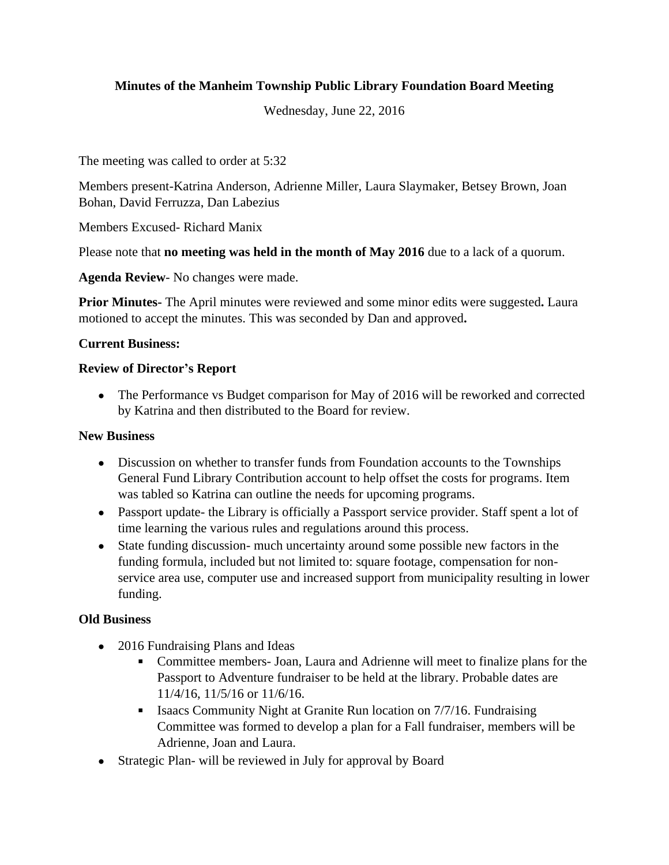# **Minutes of the Manheim Township Public Library Foundation Board Meeting**

Wednesday, June 22, 2016

The meeting was called to order at 5:32

Members present-Katrina Anderson, Adrienne Miller, Laura Slaymaker, Betsey Brown, Joan Bohan, David Ferruzza, Dan Labezius

Members Excused- Richard Manix

Please note that **no meeting was held in the month of May 2016** due to a lack of a quorum.

**Agenda Review**- No changes were made.

**Prior Minutes-** The April minutes were reviewed and some minor edits were suggested**.** Laura motioned to accept the minutes. This was seconded by Dan and approved**.**

## **Current Business:**

## **Review of Director's Report**

• The Performance vs Budget comparison for May of 2016 will be reworked and corrected by Katrina and then distributed to the Board for review.

#### **New Business**

- Discussion on whether to transfer funds from Foundation accounts to the Townships General Fund Library Contribution account to help offset the costs for programs. Item was tabled so Katrina can outline the needs for upcoming programs.
- Passport update- the Library is officially a Passport service provider. Staff spent a lot of time learning the various rules and regulations around this process.
- State funding discussion- much uncertainty around some possible new factors in the funding formula, included but not limited to: square footage, compensation for nonservice area use, computer use and increased support from municipality resulting in lower funding.

# **Old Business**

- 2016 Fundraising Plans and Ideas
	- Committee members- Joan, Laura and Adrienne will meet to finalize plans for the Passport to Adventure fundraiser to be held at the library. Probable dates are 11/4/16, 11/5/16 or 11/6/16.
	- Isaacs Community Night at Granite Run location on 7/7/16. Fundraising Committee was formed to develop a plan for a Fall fundraiser, members will be Adrienne, Joan and Laura.
- Strategic Plan- will be reviewed in July for approval by Board